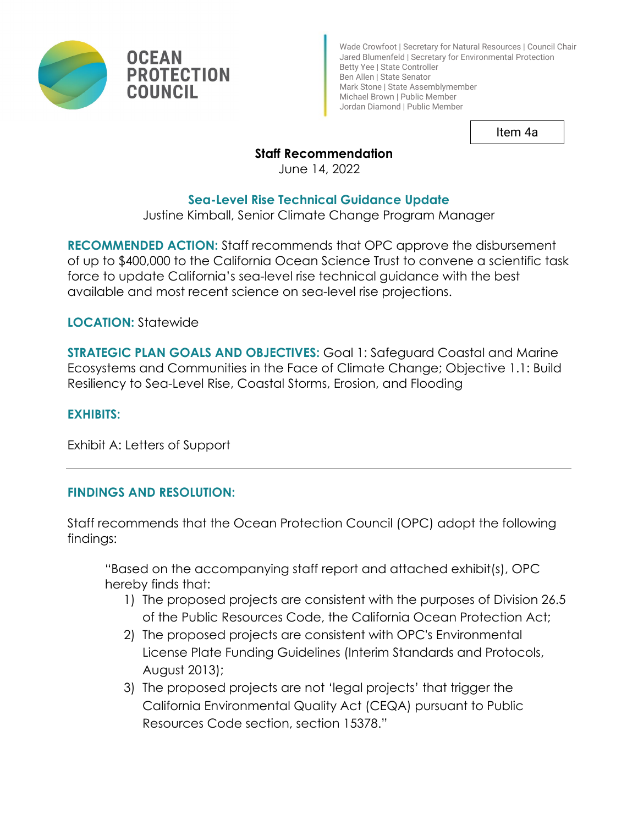

Wade Crowfoot | Secretary for Natural Resources | Council Chair Jared Blumenfeld | Secretary for Environmental Protection Betty Yee | State Controller Ben Allen | State Senator Mark Stone | State Assemblymember Michael Brown | Public Member Jordan Diamond | Public Member

Item 4a

## **Staff Recommendation**

June 14, 2022

## **Sea-Level Rise Technical Guidance Update**

Justine Kimball, Senior Climate Change Program Manager

**RECOMMENDED ACTION:** Staff recommends that OPC approve the disbursement of up to \$400,000 to the California Ocean Science Trust to convene a scientific task force to update California's sea-level rise technical guidance with the best available and most recent science on sea-level rise projections.

**LOCATION:** Statewide

**STRATEGIC PLAN GOALS AND OBJECTIVES:** Goal 1: Safeguard Coastal and Marine Ecosystems and Communities in the Face of Climate Change; Objective 1.1: Build Resiliency to Sea-Level Rise, Coastal Storms, Erosion, and Flooding

#### **EXHIBITS:**

Exhibit A: Letters of Support

## **FINDINGS AND RESOLUTION:**

Staff recommends that the Ocean Protection Council (OPC) adopt the following findings:

"Based on the accompanying staff report and attached exhibit(s), OPC hereby finds that:

- 1) The proposed projects are consistent with the purposes of Division 26.5 of the Public Resources Code, the California Ocean Protection Act;
- 2) The proposed projects are consistent with OPC's Environmental License Plate Funding Guidelines (Interim Standards and Protocols, August 2013);
- 3) The proposed projects are not 'legal projects' that trigger the California Environmental Quality Act (CEQA) pursuant to Public Resources Code section, section 15378."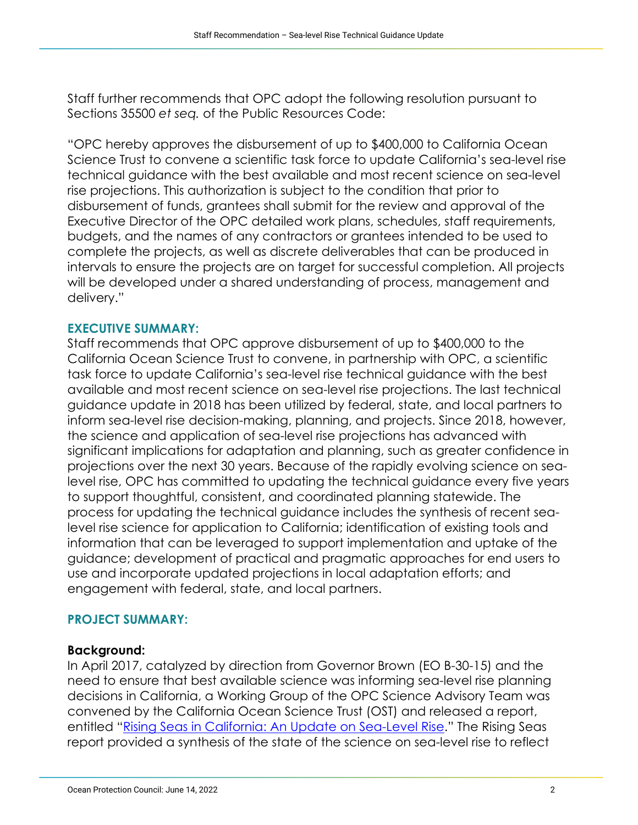Staff further recommends that OPC adopt the following resolution pursuant to Sections 35500 *et seq.* of the Public Resources Code:

"OPC hereby approves the disbursement of up to \$400,000 to California Ocean Science Trust to convene a scientific task force to update California's sea-level rise technical guidance with the best available and most recent science on sea-level rise projections. This authorization is subject to the condition that prior to disbursement of funds, grantees shall submit for the review and approval of the Executive Director of the OPC detailed work plans, schedules, staff requirements, budgets, and the names of any contractors or grantees intended to be used to complete the projects, as well as discrete deliverables that can be produced in intervals to ensure the projects are on target for successful completion. All projects will be developed under a shared understanding of process, management and delivery."

#### **EXECUTIVE SUMMARY:**

Staff recommends that OPC approve disbursement of up to \$400,000 to the California Ocean Science Trust to convene, in partnership with OPC, a scientific task force to update California's sea-level rise technical guidance with the best available and most recent science on sea-level rise projections. The last technical guidance update in 2018 has been utilized by federal, state, and local partners to inform sea-level rise decision-making, planning, and projects. Since 2018, however, the science and application of sea-level rise projections has advanced with significant implications for adaptation and planning, such as greater confidence in projections over the next 30 years. Because of the rapidly evolving science on sealevel rise, OPC has committed to updating the technical guidance every five years to support thoughtful, consistent, and coordinated planning statewide. The process for updating the technical guidance includes the synthesis of recent sealevel rise science for application to California; identification of existing tools and information that can be leveraged to support implementation and uptake of the guidance; development of practical and pragmatic approaches for end users to use and incorporate updated projections in local adaptation efforts; and engagement with federal, state, and local partners.

#### **PROJECT SUMMARY:**

#### **Background:**

In April 2017, catalyzed by direction from Governor Brown (EO B-30-15) and the need to ensure that best available science was informing sea-level rise planning decisions in California, a Working Group of the OPC Science Advisory Team was convened by the California Ocean Science Trust (OST) and released a report, entitled ["Rising Seas in California: An Update on Sea-Level Rise.](https://www.opc.ca.gov/webmaster/ftp/pdf/docs/rising-seas-in-california-an-update-on-sea-level-rise-science.pdf)" The Rising Seas report provided a synthesis of the state of the science on sea-level rise to reflect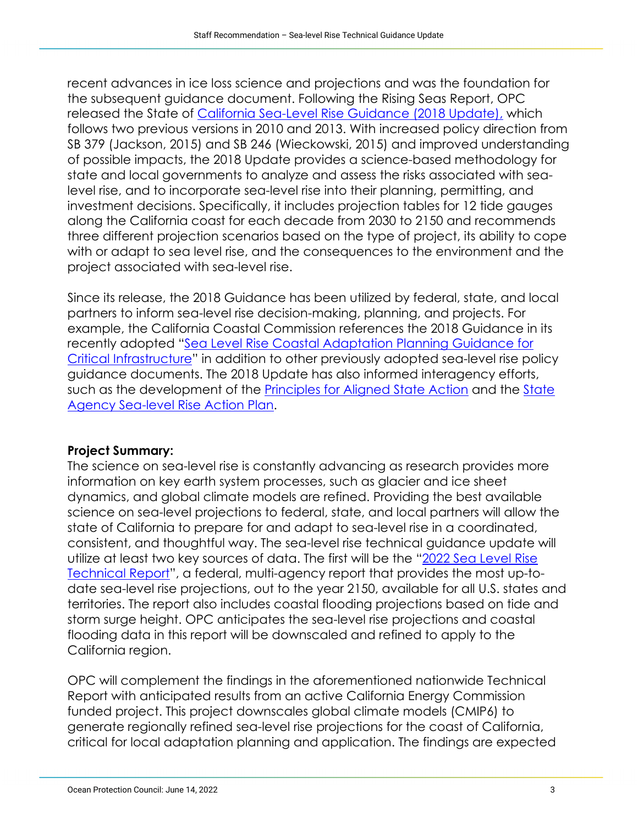recent advances in ice loss science and projections and was the foundation for the subsequent guidance document. Following the Rising Seas Report, OPC released the State of [California Sea-Level Rise Guidance \(2018 Update\),](https://opc.ca.gov/webmaster/ftp/pdf/agenda_items/20180314/Item3_Exhibit-A_OPC_SLR_Guidance-rd3.pdf) which follows two previous versions in 2010 and 2013. With increased policy direction from SB 379 (Jackson, 2015) and SB 246 (Wieckowski, 2015) and improved understanding of possible impacts, the 2018 Update provides a science-based methodology for state and local governments to analyze and assess the risks associated with sealevel rise, and to incorporate sea-level rise into their planning, permitting, and investment decisions. Specifically, it includes projection tables for 12 tide gauges along the California coast for each decade from 2030 to 2150 and recommends three different projection scenarios based on the type of project, its ability to cope with or adapt to sea level rise, and the consequences to the environment and the project associated with sea-level rise.

Since its release, the 2018 Guidance has been utilized by federal, state, and local partners to inform sea-level rise decision-making, planning, and projects. For example, the California Coastal Commission references the 2018 Guidance in its recently adopted ["Sea Level Rise Coastal Adaptation Planning Guidance for](https://www.coastal.ca.gov/climate/slr/vulnerability-adaptation/infrastructure/)  [Critical Infrastructure"](https://www.coastal.ca.gov/climate/slr/vulnerability-adaptation/infrastructure/) in addition to other previously adopted sea-level rise policy guidance documents. The 2018 Update has also informed interagency efforts, such as the development of the [Principles for Aligned State Action](https://www.opc.ca.gov/webmaster/_media_library/2021/01/State-SLR-Principles-Doc_Oct2020.pdf) and the State [Agency Sea-level Rise Action Plan.](https://www.opc.ca.gov/webmaster/_media_library/2022/02/Item-7_Exhibit-A_SLR-Action-Plan-Final.pdf)

## **Project Summary:**

The science on sea-level rise is constantly advancing as research provides more information on key earth system processes, such as glacier and ice sheet dynamics, and global climate models are refined. Providing the best available science on sea-level projections to federal, state, and local partners will allow the state of California to prepare for and adapt to sea-level rise in a coordinated, consistent, and thoughtful way. The sea-level rise technical guidance update will utilize at least two key sources of data. The first will be the ["2022 Sea Level Rise](https://oceanservice.noaa.gov/hazards/sealevelrise/sealevelrise-tech-report.html)  [Technical Report"](https://oceanservice.noaa.gov/hazards/sealevelrise/sealevelrise-tech-report.html), a federal, multi-agency report that provides the most up-todate sea-level rise projections, out to the year 2150, available for all U.S. states and territories. The report also includes coastal flooding projections based on tide and storm surge height. OPC anticipates the sea-level rise projections and coastal flooding data in this report will be downscaled and refined to apply to the California region.

OPC will complement the findings in the aforementioned nationwide Technical Report with anticipated results from an active California Energy Commission funded project. This project downscales global climate models (CMIP6) to generate regionally refined sea-level rise projections for the coast of California, critical for local adaptation planning and application. The findings are expected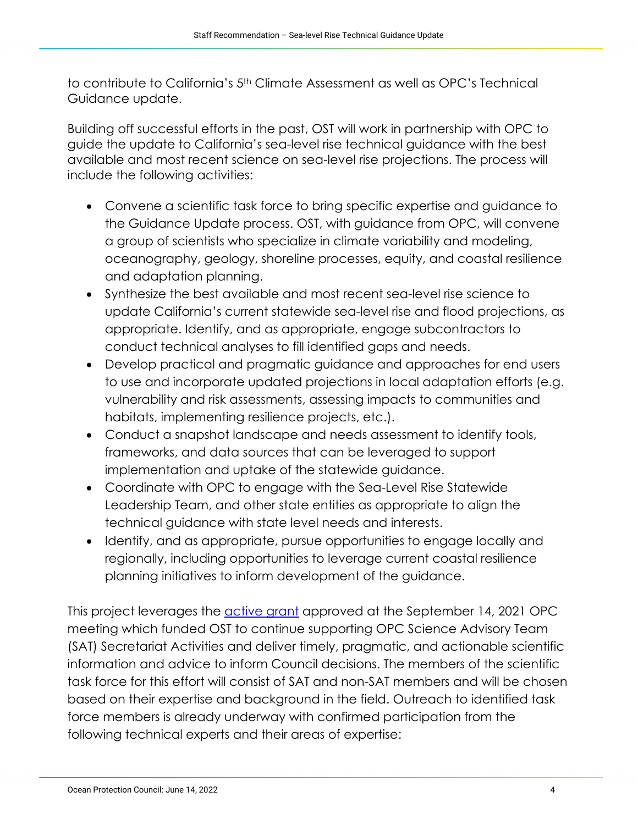to contribute to California's 5th Climate Assessment as well as OPC's Technical Guidance update.

Building off successful efforts in the past, OST will work in partnership with OPC to guide the update to California's sea-level rise technical guidance with the best available and most recent science on sea-level rise projections. The process will include the following activities:

- Convene a scientific task force to bring specific expertise and guidance to the Guidance Update process. OST, with guidance from OPC, will convene a group of scientists who specialize in climate variability and modeling, oceanography, geology, shoreline processes, equity, and coastal resilience and adaptation planning.
- Synthesize the best available and most recent sea-level rise science to update California's current statewide sea-level rise and flood projections, as appropriate. Identify, and as appropriate, engage subcontractors to conduct technical analyses to fill identified gaps and needs.
- Develop practical and pragmatic guidance and approaches for end users to use and incorporate updated projections in local adaptation efforts (e.g. vulnerability and risk assessments, assessing impacts to communities and habitats, implementing resilience projects, etc.).
- Conduct a snapshot landscape and needs assessment to identify tools, frameworks, and data sources that can be leveraged to support implementation and uptake of the statewide guidance.
- Coordinate with OPC to engage with the Sea-Level Rise Statewide Leadership Team, and other state entities as appropriate to align the technical guidance with state level needs and interests.
- Identify, and as appropriate, pursue opportunities to engage locally and regionally, including opportunities to leverage current coastal resilience planning initiatives to inform development of the guidance.

This project leverages the **active grant** approved at the September 14, 2021 OPC meeting which funded OST to continue supporting OPC Science Advisory Team (SAT) Secretariat Activities and deliver timely, pragmatic, and actionable scientific information and advice to inform Council decisions. The members of the scientific task force for this effort will consist of SAT and non-SAT members and will be chosen based on their expertise and background in the field. Outreach to identified task force members is already underway with confirmed participation from the following technical experts and their areas of expertise: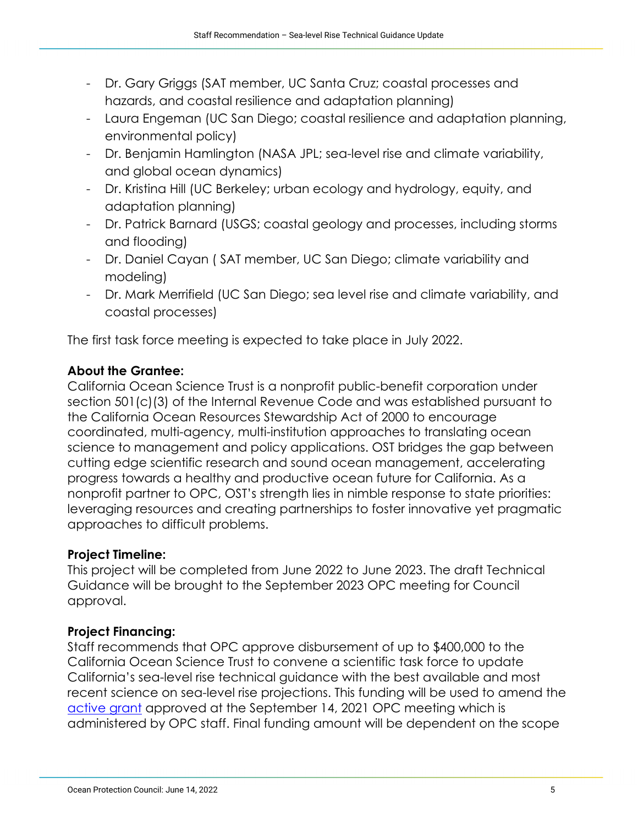- Dr. Gary Griggs (SAT member, UC Santa Cruz; coastal processes and hazards, and coastal resilience and adaptation planning)
- Laura Engeman (UC San Diego; coastal resilience and adaptation planning, environmental policy)
- Dr. Benjamin Hamlington (NASA JPL; sea-level rise and climate variability, and global ocean dynamics)
- Dr. Kristina Hill (UC Berkeley; urban ecology and hydrology, equity, and adaptation planning)
- Dr. Patrick Barnard (USGS; coastal geology and processes, including storms and flooding)
- Dr. Daniel Cayan ( SAT member, UC San Diego; climate variability and modeling)
- Dr. Mark Merrifield (UC San Diego; sea level rise and climate variability, and coastal processes)

The first task force meeting is expected to take place in July 2022.

# **About the Grantee:**

California Ocean Science Trust is a nonprofit public-benefit corporation under section 501(c)(3) of the Internal Revenue Code and was established pursuant to the California Ocean Resources Stewardship Act of 2000 to encourage coordinated, multi-agency, multi-institution approaches to translating ocean science to management and policy applications. OST bridges the gap between cutting edge scientific research and sound ocean management, accelerating progress towards a healthy and productive ocean future for California. As a nonprofit partner to OPC, OST's strength lies in nimble response to state priorities: leveraging resources and creating partnerships to foster innovative yet pragmatic approaches to difficult problems.

# **Project Timeline:**

This project will be completed from June 2022 to June 2023. The draft Technical Guidance will be brought to the September 2023 OPC meeting for Council approval.

# **Project Financing:**

Staff recommends that OPC approve disbursement of up to \$400,000 to the California Ocean Science Trust to convene a scientific task force to update California's sea-level rise technical guidance with the best available and most recent science on sea-level rise projections. This funding will be used to amend the [active grant](https://www.opc.ca.gov/webmaster/ftp/pdf/agenda_items/20210914/Item_8a_OST_SAT_Secretariat.pdf) approved at the September 14, 2021 OPC meeting which is administered by OPC staff. Final funding amount will be dependent on the scope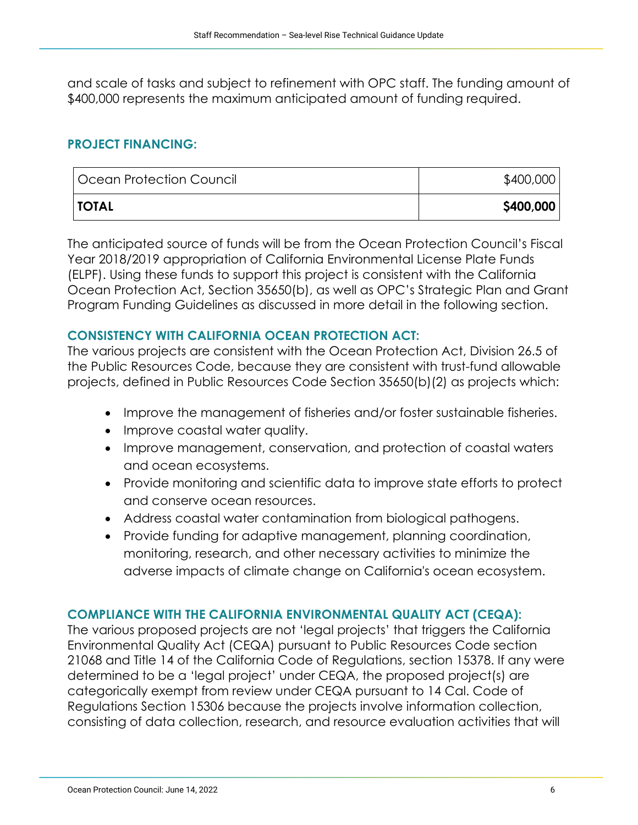and scale of tasks and subject to refinement with OPC staff. The funding amount of \$400,000 represents the maximum anticipated amount of funding required.

## **PROJECT FINANCING:**

| Ocean Protection Council | \$400,000 |
|--------------------------|-----------|
| <b>TOTAL</b>             | \$400,000 |

The anticipated source of funds will be from the Ocean Protection Council's Fiscal Year 2018/2019 appropriation of California Environmental License Plate Funds (ELPF). Using these funds to support this project is consistent with the California Ocean Protection Act, Section 35650(b), as well as OPC's Strategic Plan and Grant Program Funding Guidelines as discussed in more detail in the following section.

#### **CONSISTENCY WITH CALIFORNIA OCEAN PROTECTION ACT:**

The various projects are consistent with the Ocean Protection Act, Division 26.5 of the Public Resources Code, because they are consistent with trust-fund allowable projects, defined in Public Resources Code Section 35650(b)(2) as projects which:

- Improve the management of fisheries and/or foster sustainable fisheries.
- Improve coastal water quality.
- Improve management, conservation, and protection of coastal waters and ocean ecosystems.
- Provide monitoring and scientific data to improve state efforts to protect and conserve ocean resources.
- Address coastal water contamination from biological pathogens.
- Provide funding for adaptive management, planning coordination, monitoring, research, and other necessary activities to minimize the adverse impacts of climate change on California's ocean ecosystem.

## **COMPLIANCE WITH THE CALIFORNIA ENVIRONMENTAL QUALITY ACT (CEQA):**

The various proposed projects are not 'legal projects' that triggers the California Environmental Quality Act (CEQA) pursuant to Public Resources Code section 21068 and Title 14 of the California Code of Regulations, section 15378. If any were determined to be a 'legal project' under CEQA, the proposed project(s) are categorically exempt from review under CEQA pursuant to 14 Cal. Code of Regulations Section 15306 because the projects involve information collection, consisting of data collection, research, and resource evaluation activities that will